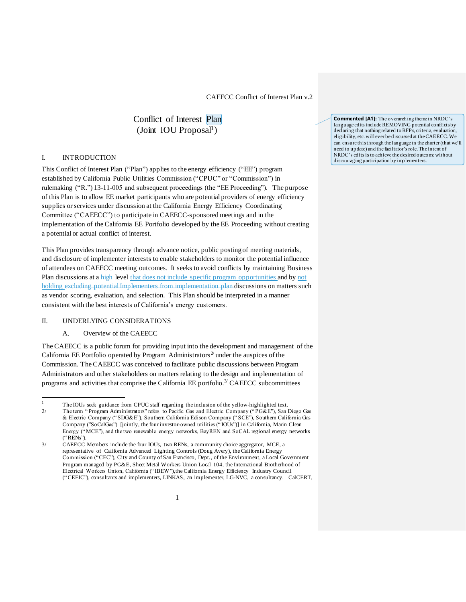Conflict of Interest Plan (Joint IOU Proposal<sup>1</sup>)

### I. INTRODUCTION

This Conflict of Interest Plan ("Plan") applies to the energy efficiency ("EE") program established by California Public Utilities Commission ("CPUC" or "Commission") in rulemaking ("R.") 13-11-005 and subsequent proceedings (the "EE Proceeding"). The purpose of this Plan is to allow EE market participants who are potential providers of energy efficiency supplies or services under discussion at the California Energy Efficiency Coordinating Committee ("CAEECC") to participate in CAEECC-sponsored meetings and in the implementation of the California EE Portfolio developed by the EE Proceeding without creating a potential or actual conflict of interest.

This Plan provides transparency through advance notice, public posting of meeting materials, and disclosure of implementer interests to enable stakeholders to monitor the potential influence of attendees on CAEECC meeting outcomes. It seeks to avoid conflicts by maintaining Business Plan discussions at a high-level that does not include specific program opportunities and by not holding excluding potential Implementers from implementation plan discussions on matters such as vendor scoring, evaluation, and selection. This Plan should be interpreted in a manner consistent with the best interests of California's energy customers.

#### II. UNDERLYING CONSIDERATIONS

 $\overline{a}$ 

## A. Overview of the CAEECC

The CAEECC is a public forum for providing input into the development and management of the California EE Portfolio operated by Program Administrators<sup>2</sup> under the auspices of the Commission. The CAEECC was conceived to facilitate public discussions between Program Administrators and other stakeholders on matters relating to the design and implementation of programs and activities that comprise the California EE portfolio.<sup>3/</sup> CAEECC subcommittees

**Commented [A1]:** The overarching theme in NRDC's language edits include REMOVING potential conflicts by declaring that nothing related to RFPs, criteria, evaluation, eligibility, etc. will ever be discussed at the CAEECC. We can ensure this through the language in the charter (that we'll need to update) and the faciltator's role. The intent of NRDC's edits is to achieve the desired outcome without discouraging participation by implementers.

<sup>1</sup> The IOUs seek guidance from CPUC staff regarding the inclusion of the yellow-highlighted text.

<sup>2/</sup> The term " Program Administrators" refers to Pacific Gas and Electric Company (" PG&E"), San Diego Gas & Electric Company (" SDG&E"), Southern California Edison Company (" SCE"), Southern California Gas Company ("SoCalGas") [jointly, the four investor-owned utilities (" IOUs")] in California, Marin Clean Energy (" MCE"), and the two renewable energy networks, BayREN and SoCAL regional energy networks (" RENs").

<sup>3/</sup> CAEECC Members include the four IOUs, two RENs, a community choice aggregator, MCE, a representative of California Advanced Lighting Controls (Doug Avery), the California Energy Commission ("CEC"), City and County of San Francisco, Dept., of the Environment, a Local Government Program managed by PG&E, Sheet Metal Workers Union Local 104, the International Brotherhood of Electrical Workers Union, California (" IBEW"),the California Energy Efficiency Industry Council (" CEEIC"), consultants and implementers, LINKAS, an implementer, LG-NVC, a consultancy. CalCERT,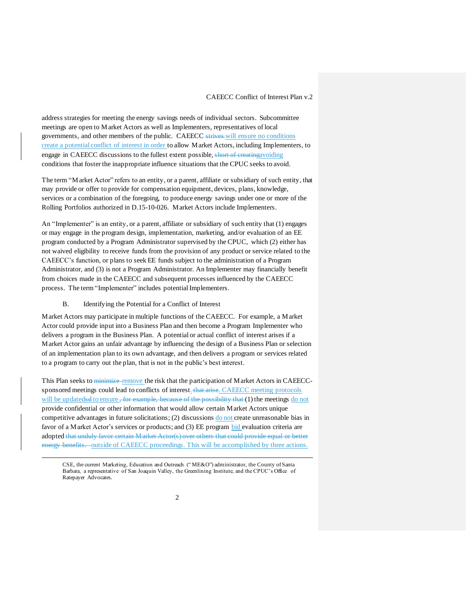address strategies for meeting the energy savings needs of individual sectors. Subcommittee meetings are open to Market Actors as well as Implementers, representatives of local governments, and other members of the public. CAEECC strives will ensure no conditions create a potential conflict of interest in order to allow Market Actors, including Implementers, to engage in CAEECC discussions to the fullest extent possible, short of creatingavoiding conditions that foster the inappropriate influence situations that the CPUC seeks to avoid.

The term "Market Actor" refers to an entity, or a parent, affiliate or subsidiary of such entity, that may provide or offer to provide for compensation equipment, devices, plans, knowledge, services or a combination of the foregoing, to produce energy savings under one or more of the Rolling Portfolios authorized in D.15-10-026. Market Actors include Implementers.

An "Implementer" is an entity, or a parent, affiliate or subsidiary of such entity that (1) engages or may engage in the program design, implementation, marketing, and/or evaluation of an EE program conducted by a Program Administrator supervised by the CPUC, which (2) either has not waived eligibility to receive funds from the provision of any product or service related to the CAEECC's function, or plans to seek EE funds subject to the administration of a Program Administrator, and (3) is not a Program Administrator. An Implementer may financially benefit from choices made in the CAEECC and subsequent processes influenced by the CAEECC process. The term "Implementer" includes potential Implementers.

#### B. Identifying the Potential for a Conflict of Interest

 $\overline{a}$ 

Market Actors may participate in multiple functions of the CAEECC. For example, a Market Actor could provide input into a Business Plan and then become a Program Implementer who delivers a program in the Business Plan. A potential or actual conflict of interest arises if a Market Actor gains an unfair advantage by influencing the design of a Business Plan or selection of an implementation plan to its own advantage, and then delivers a program or services related to a program to carry out the plan, that is not in the public's best interest.

This Plan seeks to minimize-remove the risk that the participation of Market Actors in CAEECCsponsored meetings could lead to conflicts of interest. that arise. CAEECC meeting protocols will be updatedsd to ensure <del>, for example, because of the possibility that</del> (1) the meetings do not provide confidential or other information that would allow certain Market Actors unique competitive advantages in future solicitations; (2) discussions do not create unreasonable bias in favor of a Market Actor's services or products; and (3) EE program bid evaluation criteria are adopted that unduly favor certain Market Actor(s) over others that could provide equal or better energy benefits. outside of CAEECC proceedings. This will be accomplished by three actions.

CSE, the current Marketing, Education and Outreach (" ME&O") administrator, the County of Santa Barbara, a representative of San Joaquin Valley, the Greenlining Institute, and the CPUC's Office of Ratepayer Advocates.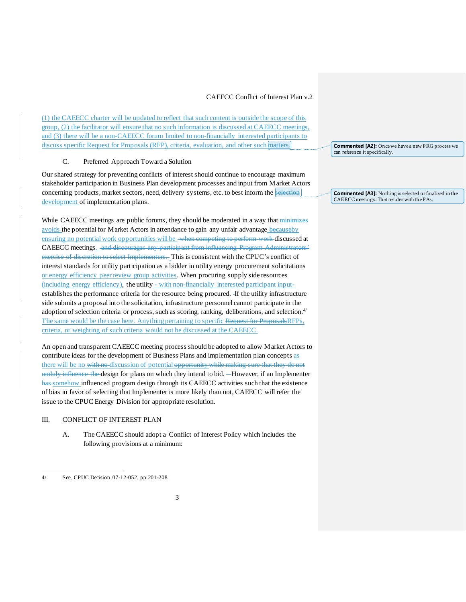(1) the CAEECC charter will be updated to reflect that such content is outside the scope of this group, (2) the facilitator will ensure that no such information is discussed at CAEECC meetings, and (3) there will be a non-CAEECC forum limited to non-financially interested participants to discuss specific Request for Proposals (RFP), criteria, evaluation, and other such matters.

## C. Preferred Approach Toward a Solution

Our shared strategy for preventing conflicts of interest should continue to encourage maximum stakeholder participation in Business Plan development processes and input from Market Actors concerning products, market sectors, need, delivery systems, etc. to best inform the selection development of implementation plans.

While CAEECC meetings are public forums, they should be moderated in a way that minimizes avoids the potential for Market Actors in attendance to gain any unfair advantage becauseby ensuring no potential work opportunities will be when competing to perform work discussed at CAEECC meetings. and discourages any participant from influencing Program Administrators' exercise of discretion to select Implementers. This is consistent with the CPUC's conflict of interest standards for utility participation as a bidder in utility energy procurement solicitations or energy efficiency peer review group activities. When procuring supply side resources (including energy efficiency), the utility - with non-financially interested participant inputestablishes the performance criteria for the resource being procured. If the utility infrastructure side submits a proposal into the solicitation, infrastructure personnel cannot participate in the adoption of selection criteria or process, such as scoring, ranking, deliberations, and selection.<sup>4/</sup> The same would be the case here. Anything pertaining to specific Request for ProposalsRFPs, criteria, or weighting of such criteria would not be discussed at the CAEECC.

An open and transparent CAEECC meeting process should be adopted to allow Market Actors to contribute ideas for the development of Business Plans and implementation plan concepts as there will be no with no discussion of potential opportunity while making sure that they do not unduly influence the design for plans on which they intend to bid. -However, if an Implementer has somehow influenced program design through its CAEECC activities such that the existence of bias in favor of selecting that Implementer is more likely than not, CAEECC will refer the issue to the CPUC Energy Division for appropriate resolution.

#### III. CONFLICT OF INTEREST PLAN

A. The CAEECC should adopt a Conflict of Interest Policy which includes the following provisions at a minimum:

 $\overline{a}$ 

**Commented [A2]:** Once we have a new PRG process we can reference it specifically.

**Commented [A3]:** Nothing is selected or finalized in the CAEECC meetings. That resides with the PAs.

<sup>4/</sup> See, CPUC Decision 07-12-052, pp.201-208.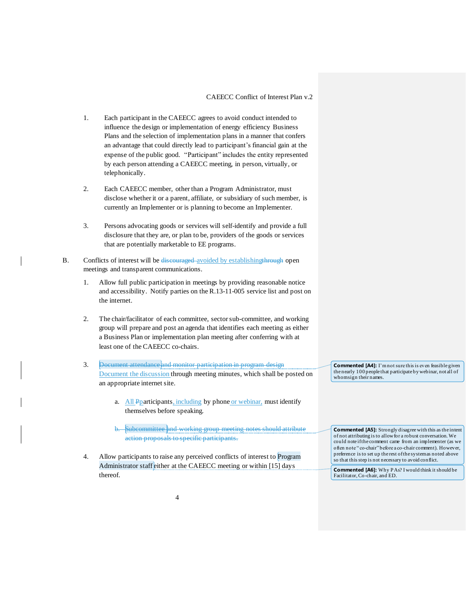- 1. Each participant in the CAEECC agrees to avoid conduct intended to influence the design or implementation of energy efficiency Business Plans and the selection of implementation plans in a manner that confers an advantage that could directly lead to participant's financial gain at the expense of the public good. "Participant" includes the entity represented by each person attending a CAEECC meeting, in person, virtually, or telephonically.
- 2. Each CAEECC member, other than a Program Administrator, must disclose whether it or a parent, affiliate, or subsidiary of such member, is currently an Implementer or is planning to become an Implementer.
- 3. Persons advocating goods or services will self-identify and provide a full disclosure that they are, or plan to be, providers of the goods or services that are potentially marketable to EE programs.
- B. Conflicts of interest will be discouraged avoided by establishing through open meetings and transparent communications.
	- 1. Allow full public participation in meetings by providing reasonable notice and accessibility. Notify parties on the R.13-11-005 service list and post on the internet.
	- 2. The chair/facilitator of each committee, sector sub-committee, and working group will prepare and post an agenda that identifies each meeting as either a Business Plan or implementation plan meeting after conferring with at least one of the CAEECC co-chairs.
	- 3. Document attendance and monitor participation in program design Document the discussion through meeting minutes, which shall be posted on an appropriate internet site.
		- a. All Pparticipants, including by phone or webinar, must identify themselves before speaking.
		- b. Subcommittee and working group meeting notes should attribute action proposals to specific participants.
	- 4. Allow participants to raise any perceived conflicts of interest to Program Administrator staff either at the CAEECC meeting or within [15] days thereof.

**Commented [A4]:** I'm not sure this is even feasible given the nearly 100 people that participate by webinar, not all of whom sign their names.

**Commented [A5]:** Strongly disagree with this as the intent of not attributing is to allow for a robust conversation. We could note if the comment came from an implementer (as we often note " co-chair" before a co-chair comment). However, preference is to set up the rest of the system as noted above so that this step is not necessary to avoid conflict.

**Commented [A6]:** Why PAs? I would think it should be Facilitator, Co-chair, and ED.